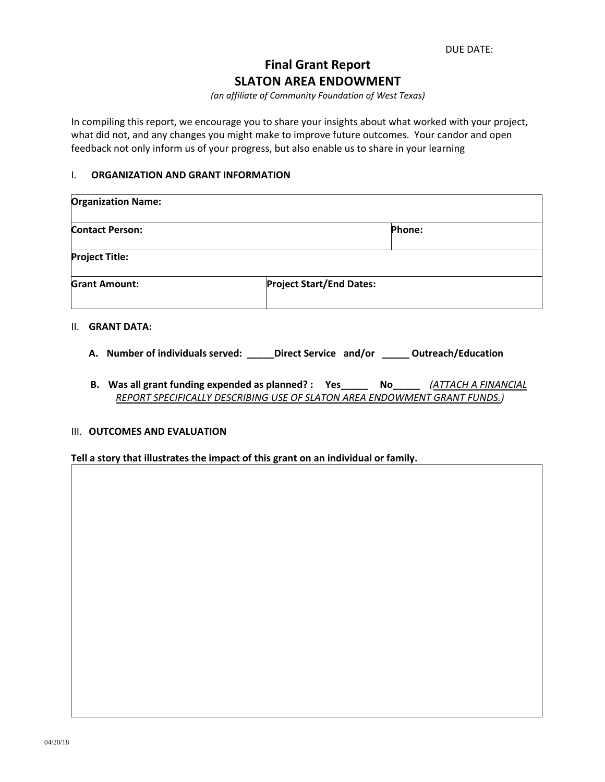DUE DATE:

# **Final Grant Report SLATON AREA ENDOWMENT**

*(an affiliate of Community Foundation of West Texas)*

In compiling this report, we encourage you to share your insights about what worked with your project, what did not, and any changes you might make to improve future outcomes. Your candor and open feedback not only inform us of your progress, but also enable us to share in your learning

### I. **ORGANIZATION AND GRANT INFORMATION**

| <b>Organization Name:</b> |                                 |
|---------------------------|---------------------------------|
| <b>Contact Person:</b>    | Phone:                          |
| <b>Project Title:</b>     |                                 |
| <b>Grant Amount:</b>      | <b>Project Start/End Dates:</b> |

### II. **GRANT DATA:**

- **A. Number of individuals served: \_\_\_\_\_Direct Service and/or \_\_\_\_\_ Outreach/Education**
- **B. Was all grant funding expended as planned? : Yes\_\_\_\_\_ No\_\_\_\_\_** *(ATTACH A FINANCIAL REPORT SPECIFICALLY DESCRIBING USE OF SLATON AREA ENDOWMENT GRANT FUNDS.)*

## III. **OUTCOMES AND EVALUATION**

#### **Tell a story that illustrates the impact of this grant on an individual or family.**